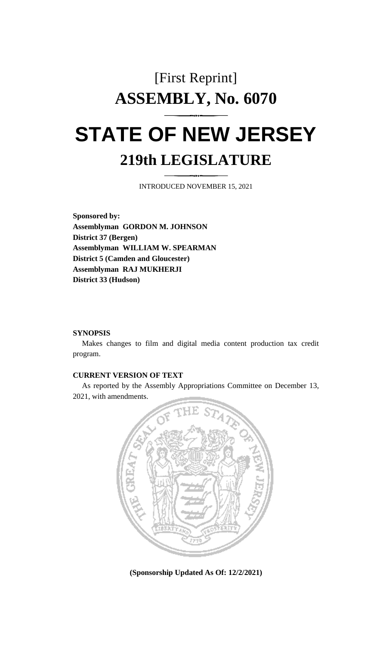# [First Reprint] **ASSEMBLY, No. 6070 STATE OF NEW JERSEY**

# **219th LEGISLATURE**

INTRODUCED NOVEMBER 15, 2021

**Sponsored by: Assemblyman GORDON M. JOHNSON District 37 (Bergen) Assemblyman WILLIAM W. SPEARMAN District 5 (Camden and Gloucester) Assemblyman RAJ MUKHERJI District 33 (Hudson)**

### **SYNOPSIS**

Makes changes to film and digital media content production tax credit program.

## **CURRENT VERSION OF TEXT**

As reported by the Assembly Appropriations Committee on December 13, 2021, with amendments.



**(Sponsorship Updated As Of: 12/2/2021)**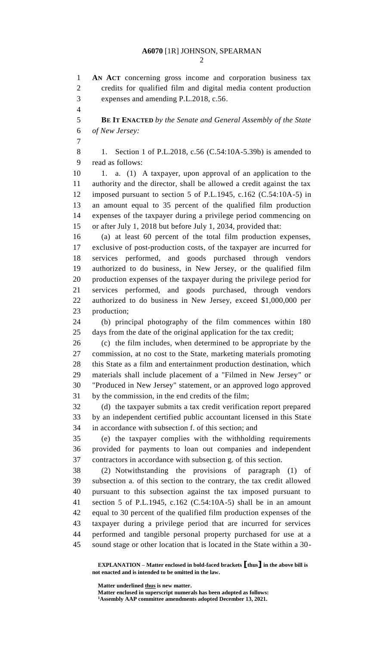**AN ACT** concerning gross income and corporation business tax credits for qualified film and digital media content production expenses and amending P.L.2018, c.56. **BE IT ENACTED** *by the Senate and General Assembly of the State of New Jersey:* 8 1. Section 1 of P.L.2018, c.56 (C.54:10A-5.39b) is amended to read as follows: 1. a. (1) A taxpayer, upon approval of an application to the authority and the director, shall be allowed a credit against the tax imposed pursuant to section 5 of P.L.1945, c.162 (C.54:10A-5) in an amount equal to 35 percent of the qualified film production expenses of the taxpayer during a privilege period commencing on or after July 1, 2018 but before July 1, 2034, provided that: (a) at least 60 percent of the total film production expenses, exclusive of post-production costs, of the taxpayer are incurred for services performed, and goods purchased through vendors authorized to do business, in New Jersey, or the qualified film production expenses of the taxpayer during the privilege period for services performed, and goods purchased, through vendors authorized to do business in New Jersey, exceed \$1,000,000 per production; (b) principal photography of the film commences within 180 days from the date of the original application for the tax credit; (c) the film includes, when determined to be appropriate by the commission, at no cost to the State, marketing materials promoting this State as a film and entertainment production destination, which materials shall include placement of a "Filmed in New Jersey" or "Produced in New Jersey" statement, or an approved logo approved by the commission, in the end credits of the film; (d) the taxpayer submits a tax credit verification report prepared by an independent certified public accountant licensed in this State in accordance with subsection f. of this section; and (e) the taxpayer complies with the withholding requirements provided for payments to loan out companies and independent contractors in accordance with subsection g. of this section. (2) Notwithstanding the provisions of paragraph (1) of subsection a. of this section to the contrary, the tax credit allowed pursuant to this subsection against the tax imposed pursuant to section 5 of P.L.1945, c.162 (C.54:10A-5) shall be in an amount equal to 30 percent of the qualified film production expenses of the taxpayer during a privilege period that are incurred for services performed and tangible personal property purchased for use at a sound stage or other location that is located in the State within a 30-

**EXPLANATION – Matter enclosed in bold-faced brackets [thus] in the above bill is not enacted and is intended to be omitted in the law.**

**Matter underlined thus is new matter.**

**Matter enclosed in superscript numerals has been adopted as follows: Assembly AAP committee amendments adopted December 13, 2021.**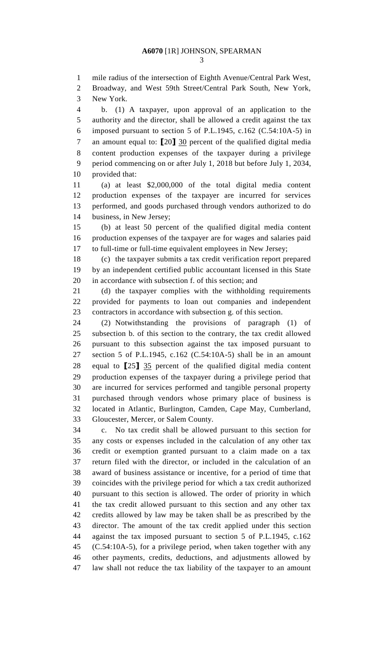mile radius of the intersection of Eighth Avenue/Central Park West,

 Broadway, and West 59th Street/Central Park South, New York, New York.

 b. (1) A taxpayer, upon approval of an application to the authority and the director, shall be allowed a credit against the tax imposed pursuant to section 5 of P.L.1945, c.162 (C.54:10A-5) in an amount equal to: **[**20**]** 30 percent of the qualified digital media content production expenses of the taxpayer during a privilege period commencing on or after July 1, 2018 but before July 1, 2034, provided that:

 (a) at least \$2,000,000 of the total digital media content production expenses of the taxpayer are incurred for services performed, and goods purchased through vendors authorized to do business, in New Jersey;

 (b) at least 50 percent of the qualified digital media content production expenses of the taxpayer are for wages and salaries paid to full-time or full-time equivalent employees in New Jersey;

 (c) the taxpayer submits a tax credit verification report prepared by an independent certified public accountant licensed in this State in accordance with subsection f. of this section; and

 (d) the taxpayer complies with the withholding requirements provided for payments to loan out companies and independent contractors in accordance with subsection g. of this section.

 (2) Notwithstanding the provisions of paragraph (1) of subsection b. of this section to the contrary, the tax credit allowed pursuant to this subsection against the tax imposed pursuant to section 5 of P.L.1945, c.162 (C.54:10A-5) shall be in an amount equal to **[**25**]** 35 percent of the qualified digital media content production expenses of the taxpayer during a privilege period that are incurred for services performed and tangible personal property purchased through vendors whose primary place of business is located in Atlantic, Burlington, Camden, Cape May, Cumberland, Gloucester, Mercer, or Salem County.

 c. No tax credit shall be allowed pursuant to this section for any costs or expenses included in the calculation of any other tax credit or exemption granted pursuant to a claim made on a tax return filed with the director, or included in the calculation of an award of business assistance or incentive, for a period of time that coincides with the privilege period for which a tax credit authorized pursuant to this section is allowed. The order of priority in which the tax credit allowed pursuant to this section and any other tax credits allowed by law may be taken shall be as prescribed by the director. The amount of the tax credit applied under this section against the tax imposed pursuant to section 5 of P.L.1945, c.162 (C.54:10A-5), for a privilege period, when taken together with any other payments, credits, deductions, and adjustments allowed by law shall not reduce the tax liability of the taxpayer to an amount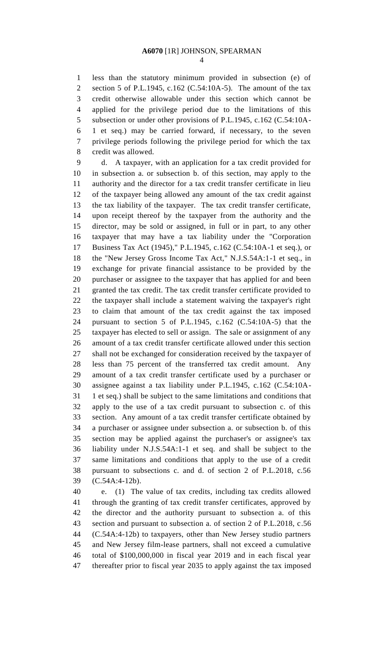less than the statutory minimum provided in subsection (e) of section 5 of P.L.1945, c.162 (C.54:10A-5). The amount of the tax credit otherwise allowable under this section which cannot be applied for the privilege period due to the limitations of this subsection or under other provisions of P.L.1945, c.162 (C.54:10A- 1 et seq.) may be carried forward, if necessary, to the seven privilege periods following the privilege period for which the tax credit was allowed.

 d. A taxpayer, with an application for a tax credit provided for in subsection a. or subsection b. of this section, may apply to the authority and the director for a tax credit transfer certificate in lieu of the taxpayer being allowed any amount of the tax credit against the tax liability of the taxpayer. The tax credit transfer certificate, upon receipt thereof by the taxpayer from the authority and the director, may be sold or assigned, in full or in part, to any other taxpayer that may have a tax liability under the "Corporation Business Tax Act (1945)," P.L.1945, c.162 (C.54:10A-1 et seq.), or the "New Jersey Gross Income Tax Act," N.J.S.54A:1-1 et seq., in exchange for private financial assistance to be provided by the purchaser or assignee to the taxpayer that has applied for and been granted the tax credit. The tax credit transfer certificate provided to the taxpayer shall include a statement waiving the taxpayer's right to claim that amount of the tax credit against the tax imposed pursuant to section 5 of P.L.1945, c.162 (C.54:10A-5) that the taxpayer has elected to sell or assign. The sale or assignment of any amount of a tax credit transfer certificate allowed under this section shall not be exchanged for consideration received by the taxpayer of less than 75 percent of the transferred tax credit amount. Any amount of a tax credit transfer certificate used by a purchaser or assignee against a tax liability under P.L.1945, c.162 (C.54:10A- 1 et seq.) shall be subject to the same limitations and conditions that apply to the use of a tax credit pursuant to subsection c. of this section. Any amount of a tax credit transfer certificate obtained by a purchaser or assignee under subsection a. or subsection b. of this section may be applied against the purchaser's or assignee's tax liability under N.J.S.54A:1-1 et seq. and shall be subject to the same limitations and conditions that apply to the use of a credit pursuant to subsections c. and d. of section 2 of P.L.2018, c.56 (C.54A:4-12b).

 e. (1) The value of tax credits, including tax credits allowed through the granting of tax credit transfer certificates, approved by the director and the authority pursuant to subsection a. of this section and pursuant to subsection a. of section 2 of P.L.2018, c.56 (C.54A:4-12b) to taxpayers, other than New Jersey studio partners and New Jersey film-lease partners, shall not exceed a cumulative total of \$100,000,000 in fiscal year 2019 and in each fiscal year thereafter prior to fiscal year 2035 to apply against the tax imposed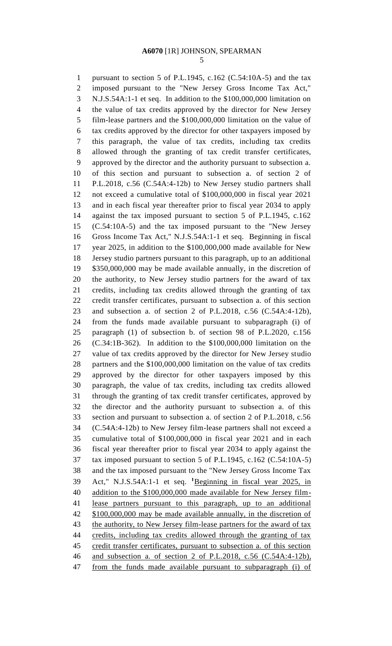pursuant to section 5 of P.L.1945, c.162 (C.54:10A-5) and the tax imposed pursuant to the "New Jersey Gross Income Tax Act," N.J.S.54A:1-1 et seq. In addition to the \$100,000,000 limitation on the value of tax credits approved by the director for New Jersey film-lease partners and the \$100,000,000 limitation on the value of tax credits approved by the director for other taxpayers imposed by this paragraph, the value of tax credits, including tax credits allowed through the granting of tax credit transfer certificates, approved by the director and the authority pursuant to subsection a. of this section and pursuant to subsection a. of section 2 of P.L.2018, c.56 (C.54A:4-12b) to New Jersey studio partners shall not exceed a cumulative total of \$100,000,000 in fiscal year 2021 and in each fiscal year thereafter prior to fiscal year 2034 to apply against the tax imposed pursuant to section 5 of P.L.1945, c.162 (C.54:10A-5) and the tax imposed pursuant to the "New Jersey Gross Income Tax Act," N.J.S.54A:1-1 et seq. Beginning in fiscal year 2025, in addition to the \$100,000,000 made available for New Jersey studio partners pursuant to this paragraph, up to an additional \$350,000,000 may be made available annually, in the discretion of the authority, to New Jersey studio partners for the award of tax credits, including tax credits allowed through the granting of tax credit transfer certificates, pursuant to subsection a. of this section and subsection a. of section 2 of P.L.2018, c.56 (C.54A:4-12b), from the funds made available pursuant to subparagraph (i) of paragraph (1) of subsection b. of section 98 of P.L.2020, c.156 (C.34:1B-362). In addition to the \$100,000,000 limitation on the value of tax credits approved by the director for New Jersey studio partners and the \$100,000,000 limitation on the value of tax credits approved by the director for other taxpayers imposed by this paragraph, the value of tax credits, including tax credits allowed through the granting of tax credit transfer certificates, approved by the director and the authority pursuant to subsection a. of this section and pursuant to subsection a. of section 2 of P.L.2018, c.56 (C.54A:4-12b) to New Jersey film-lease partners shall not exceed a cumulative total of \$100,000,000 in fiscal year 2021 and in each fiscal year thereafter prior to fiscal year 2034 to apply against the tax imposed pursuant to section 5 of P.L.1945, c.162 (C.54:10A-5) and the tax imposed pursuant to the "New Jersey Gross Income Tax Act," N.J.S.54A:1-1 et seq. **<sup>1</sup>** Beginning in fiscal year 2025, in addition to the \$100,000,000 made available for New Jersey film- lease partners pursuant to this paragraph, up to an additional \$100,000,000 may be made available annually, in the discretion of 43 the authority, to New Jersey film-lease partners for the award of tax 44 credits, including tax credits allowed through the granting of tax 45 credit transfer certificates, pursuant to subsection a. of this section and subsection a. of section 2 of P.L.2018, c.56 (C.54A:4-12b), from the funds made available pursuant to subparagraph (i) of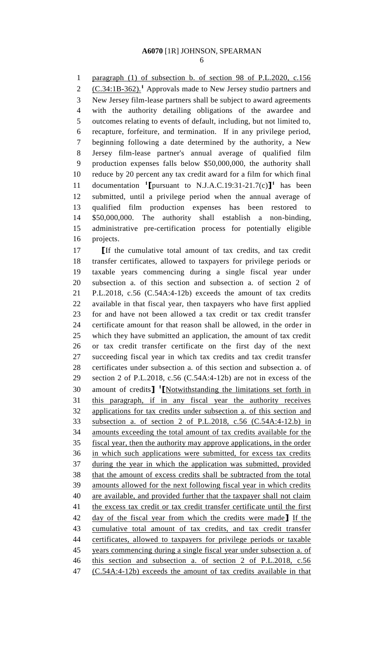paragraph (1) of subsection b. of section 98 of P.L.2020, c.156 2 (C.34:1B-362).<sup>1</sup> Approvals made to New Jersey studio partners and New Jersey film-lease partners shall be subject to award agreements with the authority detailing obligations of the awardee and outcomes relating to events of default, including, but not limited to, recapture, forfeiture, and termination. If in any privilege period, beginning following a date determined by the authority, a New Jersey film-lease partner's annual average of qualified film production expenses falls below \$50,000,000, the authority shall reduce by 20 percent any tax credit award for a film for which final documentation **<sup>1</sup> [**pursuant to N.J.A.C.19:31-21.7(c)**] 1** has been submitted, until a privilege period when the annual average of qualified film production expenses has been restored to \$50,000,000. The authority shall establish a non-binding, administrative pre-certification process for potentially eligible projects.

 **[**If the cumulative total amount of tax credits, and tax credit transfer certificates, allowed to taxpayers for privilege periods or taxable years commencing during a single fiscal year under subsection a. of this section and subsection a. of section 2 of P.L.2018, c.56 (C.54A:4-12b) exceeds the amount of tax credits available in that fiscal year, then taxpayers who have first applied for and have not been allowed a tax credit or tax credit transfer certificate amount for that reason shall be allowed, in the order in which they have submitted an application, the amount of tax credit or tax credit transfer certificate on the first day of the next succeeding fiscal year in which tax credits and tax credit transfer certificates under subsection a. of this section and subsection a. of section 2 of P.L.2018, c.56 (C.54A:4-12b) are not in excess of the 30 amount of credits<sup>1</sup> [Notwithstanding the limitations set forth in this paragraph, if in any fiscal year the authority receives applications for tax credits under subsection a. of this section and subsection a. of section 2 of P.L.2018, c.56 (C.54A:4-12.b) in amounts exceeding the total amount of tax credits available for the fiscal year, then the authority may approve applications, in the order in which such applications were submitted, for excess tax credits during the year in which the application was submitted, provided that the amount of excess credits shall be subtracted from the total amounts allowed for the next following fiscal year in which credits are available, and provided further that the taxpayer shall not claim 41 the excess tax credit or tax credit transfer certificate until the first day of the fiscal year from which the credits were made**]** If the cumulative total amount of tax credits, and tax credit transfer certificates, allowed to taxpayers for privilege periods or taxable years commencing during a single fiscal year under subsection a. of this section and subsection a. of section 2 of P.L.2018, c.56 (C.54A:4-12b) exceeds the amount of tax credits available in that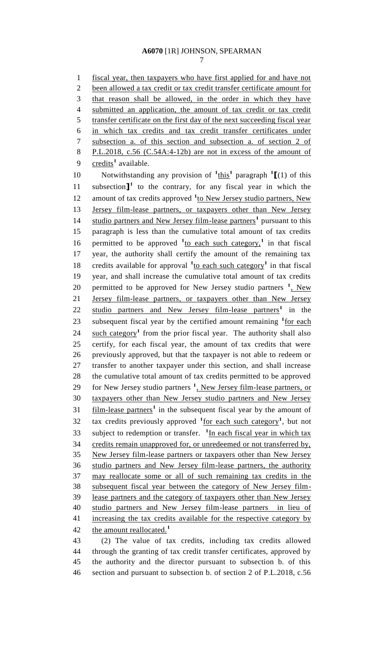fiscal year, then taxpayers who have first applied for and have not been allowed a tax credit or tax credit transfer certificate amount for that reason shall be allowed, in the order in which they have submitted an application, the amount of tax credit or tax credit transfer certificate on the first day of the next succeeding fiscal year in which tax credits and tax credit transfer certificates under subsection a. of this section and subsection a. of section 2 of P.L.2018, c.56 (C.54A:4-12b) are not in excess of the amount of 9 credits<sup>1</sup> available. 10 Notwithstanding any provision of  $\frac{1 \text{ this}}{1}$  paragraph  $\frac{1}{1}$  (1) of this 11 subsection $\mathbf{I}^1$  to the contrary, for any fiscal year in which the 12 amount of tax credits approved <sup>1</sup><sup>to</sup> New Jersey studio partners, New Jersey film-lease partners, or taxpayers other than New Jersey 14 studio partners and New Jersey film-lease partners<sup>1</sup> pursuant to this paragraph is less than the cumulative total amount of tax credits 16 permitted to be approved  $\frac{1}{10}$  each such category,<sup>1</sup> in that fiscal year, the authority shall certify the amount of the remaining tax 18 credits available for approval  $\frac{1}{10}$  each such category<sup>1</sup> in that fiscal year, and shall increase the cumulative total amount of tax credits 20 permitted to be approved for New Jersey studio partners <sup>1</sup>, New Jersey film-lease partners, or taxpayers other than New Jersey 22 studio partners and New Jersey film-lease partners<sup>1</sup> in the 23 subsequent fiscal year by the certified amount remaining <sup>1</sup> for each 24 such category<sup>1</sup> from the prior fiscal year. The authority shall also certify, for each fiscal year, the amount of tax credits that were previously approved, but that the taxpayer is not able to redeem or transfer to another taxpayer under this section, and shall increase the cumulative total amount of tax credits permitted to be approved 29 for New Jersey studio partners <sup>1</sup>, New Jersey film-lease partners, or taxpayers other than New Jersey studio partners and New Jersey 31 film-lease partners<sup>1</sup> in the subsequent fiscal year by the amount of 32 tax credits previously approved <sup>1</sup> <u>for each such category</u><sup>1</sup>, but not 33 subject to redemption or transfer. <sup>1</sup>In each fiscal year in which tax credits remain unapproved for, or unredeemed or not transferred by, New Jersey film-lease partners or taxpayers other than New Jersey studio partners and New Jersey film-lease partners, the authority may reallocate some or all of such remaining tax credits in the subsequent fiscal year between the category of New Jersey film- lease partners and the category of taxpayers other than New Jersey studio partners and New Jersey film-lease partners in lieu of 41 increasing the tax credits available for the respective category by the amount reallocated.**<sup>1</sup>** (2) The value of tax credits, including tax credits allowed

 through the granting of tax credit transfer certificates, approved by the authority and the director pursuant to subsection b. of this section and pursuant to subsection b. of section 2 of P.L.2018, c.56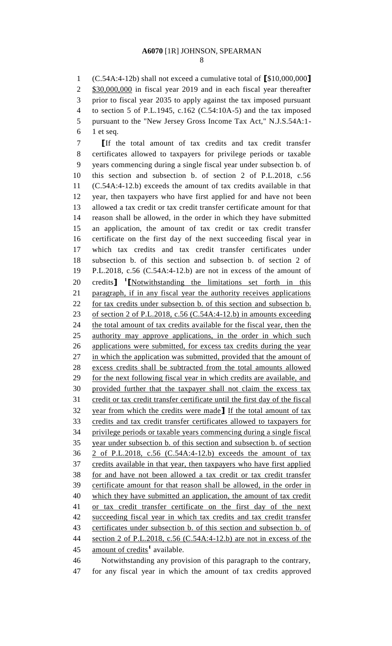(C.54A:4-12b) shall not exceed a cumulative total of **[**\$10,000,000**]** \$30,000,000 in fiscal year 2019 and in each fiscal year thereafter prior to fiscal year 2035 to apply against the tax imposed pursuant to section 5 of P.L.1945, c.162 (C.54:10A-5) and the tax imposed pursuant to the "New Jersey Gross Income Tax Act," N.J.S.54A:1- 1 et seq.

 **[**If the total amount of tax credits and tax credit transfer certificates allowed to taxpayers for privilege periods or taxable years commencing during a single fiscal year under subsection b. of this section and subsection b. of section 2 of P.L.2018, c.56 (C.54A:4-12.b) exceeds the amount of tax credits available in that year, then taxpayers who have first applied for and have not been allowed a tax credit or tax credit transfer certificate amount for that reason shall be allowed, in the order in which they have submitted an application, the amount of tax credit or tax credit transfer certificate on the first day of the next succeeding fiscal year in which tax credits and tax credit transfer certificates under subsection b. of this section and subsection b. of section 2 of P.L.2018, c.56 (C.54A:4-12.b) are not in excess of the amount of 20 credits<sup>1</sup> [Notwithstanding the limitations set forth in this paragraph, if in any fiscal year the authority receives applications for tax credits under subsection b. of this section and subsection b. 23 of section 2 of P.L.2018, c.56 (C.54A:4-12.b) in amounts exceeding 24 the total amount of tax credits available for the fiscal year, then the authority may approve applications, in the order in which such applications were submitted, for excess tax credits during the year in which the application was submitted, provided that the amount of excess credits shall be subtracted from the total amounts allowed for the next following fiscal year in which credits are available, and provided further that the taxpayer shall not claim the excess tax credit or tax credit transfer certificate until the first day of the fiscal year from which the credits were made**]** If the total amount of tax credits and tax credit transfer certificates allowed to taxpayers for privilege periods or taxable years commencing during a single fiscal year under subsection b. of this section and subsection b. of section 2 of P.L.2018, c.56 (C.54A:4-12.b) exceeds the amount of tax credits available in that year, then taxpayers who have first applied for and have not been allowed a tax credit or tax credit transfer certificate amount for that reason shall be allowed, in the order in which they have submitted an application, the amount of tax credit or tax credit transfer certificate on the first day of the next succeeding fiscal year in which tax credits and tax credit transfer certificates under subsection b. of this section and subsection b. of section 2 of P.L.2018, c.56 (C.54A:4-12.b) are not in excess of the 45 amount of credits<sup>1</sup> available. Notwithstanding any provision of this paragraph to the contrary,

for any fiscal year in which the amount of tax credits approved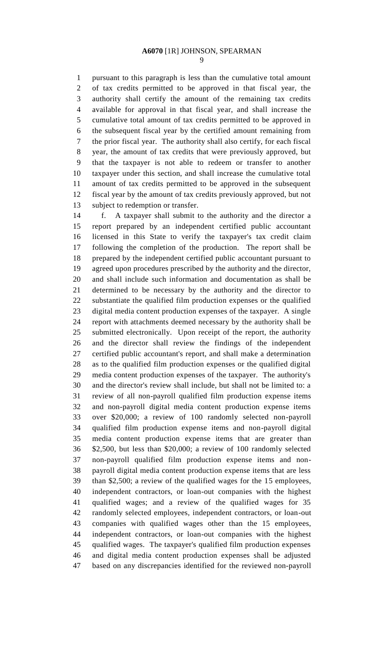pursuant to this paragraph is less than the cumulative total amount of tax credits permitted to be approved in that fiscal year, the authority shall certify the amount of the remaining tax credits available for approval in that fiscal year, and shall increase the cumulative total amount of tax credits permitted to be approved in the subsequent fiscal year by the certified amount remaining from the prior fiscal year. The authority shall also certify, for each fiscal year, the amount of tax credits that were previously approved, but that the taxpayer is not able to redeem or transfer to another taxpayer under this section, and shall increase the cumulative total amount of tax credits permitted to be approved in the subsequent fiscal year by the amount of tax credits previously approved, but not subject to redemption or transfer.

 f. A taxpayer shall submit to the authority and the director a report prepared by an independent certified public accountant licensed in this State to verify the taxpayer's tax credit claim following the completion of the production. The report shall be prepared by the independent certified public accountant pursuant to agreed upon procedures prescribed by the authority and the director, and shall include such information and documentation as shall be determined to be necessary by the authority and the director to substantiate the qualified film production expenses or the qualified digital media content production expenses of the taxpayer. A single report with attachments deemed necessary by the authority shall be submitted electronically. Upon receipt of the report, the authority and the director shall review the findings of the independent certified public accountant's report, and shall make a determination as to the qualified film production expenses or the qualified digital media content production expenses of the taxpayer. The authority's and the director's review shall include, but shall not be limited to: a review of all non-payroll qualified film production expense items and non-payroll digital media content production expense items over \$20,000; a review of 100 randomly selected non-payroll qualified film production expense items and non-payroll digital media content production expense items that are greater than \$2,500, but less than \$20,000; a review of 100 randomly selected non-payroll qualified film production expense items and non- payroll digital media content production expense items that are less than \$2,500; a review of the qualified wages for the 15 employees, independent contractors, or loan-out companies with the highest qualified wages; and a review of the qualified wages for 35 randomly selected employees, independent contractors, or loan-out companies with qualified wages other than the 15 employees, independent contractors, or loan-out companies with the highest qualified wages. The taxpayer's qualified film production expenses and digital media content production expenses shall be adjusted based on any discrepancies identified for the reviewed non-payroll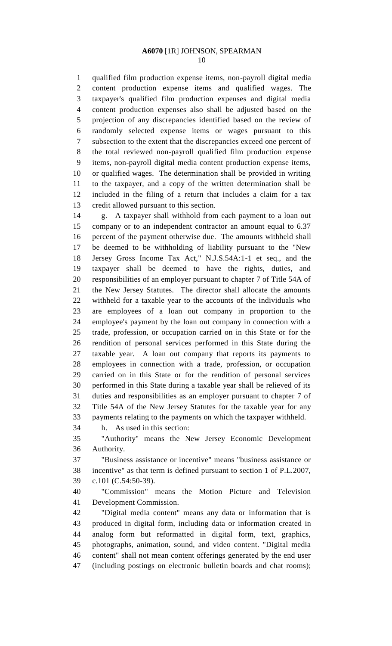qualified film production expense items, non-payroll digital media content production expense items and qualified wages. The taxpayer's qualified film production expenses and digital media content production expenses also shall be adjusted based on the projection of any discrepancies identified based on the review of randomly selected expense items or wages pursuant to this subsection to the extent that the discrepancies exceed one percent of the total reviewed non-payroll qualified film production expense items, non-payroll digital media content production expense items, or qualified wages. The determination shall be provided in writing to the taxpayer, and a copy of the written determination shall be included in the filing of a return that includes a claim for a tax credit allowed pursuant to this section.

 g. A taxpayer shall withhold from each payment to a loan out company or to an independent contractor an amount equal to 6.37 percent of the payment otherwise due. The amounts withheld shall be deemed to be withholding of liability pursuant to the "New Jersey Gross Income Tax Act," N.J.S.54A:1-1 et seq., and the taxpayer shall be deemed to have the rights, duties, and responsibilities of an employer pursuant to chapter 7 of Title 54A of the New Jersey Statutes. The director shall allocate the amounts withheld for a taxable year to the accounts of the individuals who are employees of a loan out company in proportion to the employee's payment by the loan out company in connection with a trade, profession, or occupation carried on in this State or for the rendition of personal services performed in this State during the taxable year. A loan out company that reports its payments to employees in connection with a trade, profession, or occupation carried on in this State or for the rendition of personal services performed in this State during a taxable year shall be relieved of its duties and responsibilities as an employer pursuant to chapter 7 of Title 54A of the New Jersey Statutes for the taxable year for any payments relating to the payments on which the taxpayer withheld. h. As used in this section:

 "Authority" means the New Jersey Economic Development Authority.

 "Business assistance or incentive" means "business assistance or incentive" as that term is defined pursuant to section 1 of P.L.2007, c.101 (C.54:50-39).

 "Commission" means the Motion Picture and Television Development Commission.

 "Digital media content" means any data or information that is produced in digital form, including data or information created in analog form but reformatted in digital form, text, graphics, photographs, animation, sound, and video content. "Digital media content" shall not mean content offerings generated by the end user (including postings on electronic bulletin boards and chat rooms);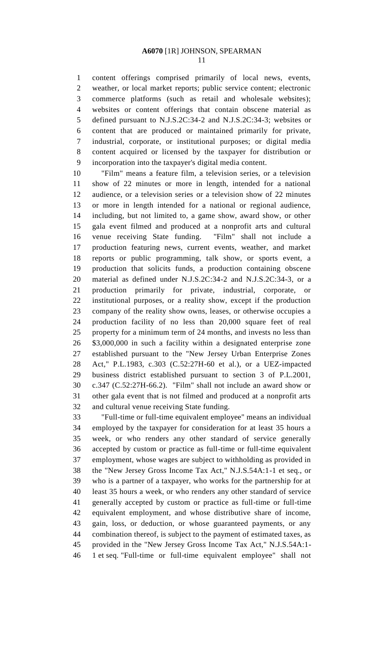content offerings comprised primarily of local news, events, weather, or local market reports; public service content; electronic commerce platforms (such as retail and wholesale websites); websites or content offerings that contain obscene material as defined pursuant to N.J.S.2C:34-2 and N.J.S.2C:34-3; websites or content that are produced or maintained primarily for private, industrial, corporate, or institutional purposes; or digital media content acquired or licensed by the taxpayer for distribution or incorporation into the taxpayer's digital media content.

 "Film" means a feature film, a television series, or a television show of 22 minutes or more in length, intended for a national audience, or a television series or a television show of 22 minutes or more in length intended for a national or regional audience, including, but not limited to, a game show, award show, or other gala event filmed and produced at a nonprofit arts and cultural venue receiving State funding. "Film" shall not include a production featuring news, current events, weather, and market reports or public programming, talk show, or sports event, a production that solicits funds, a production containing obscene material as defined under N.J.S.2C:34-2 and N.J.S.2C:34-3, or a production primarily for private, industrial, corporate, or institutional purposes, or a reality show, except if the production company of the reality show owns, leases, or otherwise occupies a production facility of no less than 20,000 square feet of real property for a minimum term of 24 months, and invests no less than \$3,000,000 in such a facility within a designated enterprise zone established pursuant to the "New Jersey Urban Enterprise Zones Act," P.L.1983, c.303 (C.52:27H-60 et al.), or a UEZ-impacted business district established pursuant to section 3 of P.L.2001, c.347 (C.52:27H-66.2). "Film" shall not include an award show or other gala event that is not filmed and produced at a nonprofit arts and cultural venue receiving State funding.

 "Full-time or full-time equivalent employee" means an individual employed by the taxpayer for consideration for at least 35 hours a week, or who renders any other standard of service generally accepted by custom or practice as full-time or full-time equivalent employment, whose wages are subject to withholding as provided in the "New Jersey Gross Income Tax Act," N.J.S.54A:1-1 et seq., or who is a partner of a taxpayer, who works for the partnership for at least 35 hours a week, or who renders any other standard of service generally accepted by custom or practice as full-time or full-time equivalent employment, and whose distributive share of income, gain, loss, or deduction, or whose guaranteed payments, or any combination thereof, is subject to the payment of estimated taxes, as provided in the "New Jersey Gross Income Tax Act," N.J.S.54A:1- 1 et seq. "Full-time or full-time equivalent employee" shall not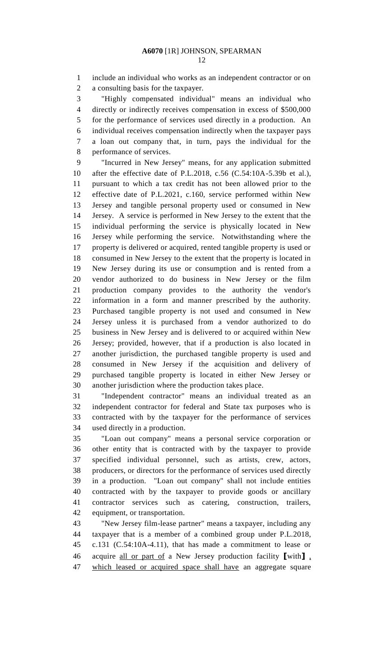include an individual who works as an independent contractor or on a consulting basis for the taxpayer.

 "Highly compensated individual" means an individual who directly or indirectly receives compensation in excess of \$500,000 for the performance of services used directly in a production. An individual receives compensation indirectly when the taxpayer pays a loan out company that, in turn, pays the individual for the performance of services.

 "Incurred in New Jersey" means, for any application submitted after the effective date of P.L.2018, c.56 (C.54:10A-5.39b et al.), pursuant to which a tax credit has not been allowed prior to the effective date of P.L.2021, c.160, service performed within New Jersey and tangible personal property used or consumed in New Jersey. A service is performed in New Jersey to the extent that the individual performing the service is physically located in New Jersey while performing the service. Notwithstanding where the property is delivered or acquired, rented tangible property is used or consumed in New Jersey to the extent that the property is located in New Jersey during its use or consumption and is rented from a vendor authorized to do business in New Jersey or the film production company provides to the authority the vendor's information in a form and manner prescribed by the authority. Purchased tangible property is not used and consumed in New Jersey unless it is purchased from a vendor authorized to do business in New Jersey and is delivered to or acquired within New Jersey; provided, however, that if a production is also located in another jurisdiction, the purchased tangible property is used and consumed in New Jersey if the acquisition and delivery of purchased tangible property is located in either New Jersey or another jurisdiction where the production takes place.

 "Independent contractor" means an individual treated as an independent contractor for federal and State tax purposes who is contracted with by the taxpayer for the performance of services used directly in a production.

 "Loan out company" means a personal service corporation or other entity that is contracted with by the taxpayer to provide specified individual personnel, such as artists, crew, actors, producers, or directors for the performance of services used directly in a production. "Loan out company" shall not include entities contracted with by the taxpayer to provide goods or ancillary contractor services such as catering, construction, trailers, equipment, or transportation.

 "New Jersey film-lease partner" means a taxpayer, including any taxpayer that is a member of a combined group under P.L.2018, c.131 (C.54:10A-4.11), that has made a commitment to lease or acquire all or part of a New Jersey production facility **[**with**]** , which leased or acquired space shall have an aggregate square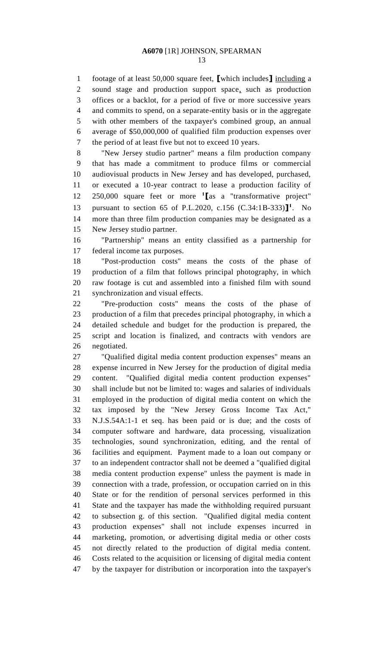footage of at least 50,000 square feet, **[**which includes**]** including a sound stage and production support space, such as production offices or a backlot, for a period of five or more successive years and commits to spend, on a separate-entity basis or in the aggregate with other members of the taxpayer's combined group, an annual average of \$50,000,000 of qualified film production expenses over the period of at least five but not to exceed 10 years.

 "New Jersey studio partner" means a film production company that has made a commitment to produce films or commercial audiovisual products in New Jersey and has developed, purchased, or executed a 10-year contract to lease a production facility of 250,000 square feet or more **<sup>1</sup> [**as a "transformative project" pursuant to section 65 of P.L.2020, c.156 (C.34:1B-333)**] 1** . No more than three film production companies may be designated as a New Jersey studio partner.

 "Partnership" means an entity classified as a partnership for federal income tax purposes.

 "Post-production costs" means the costs of the phase of production of a film that follows principal photography, in which raw footage is cut and assembled into a finished film with sound synchronization and visual effects.

 "Pre-production costs" means the costs of the phase of production of a film that precedes principal photography, in which a detailed schedule and budget for the production is prepared, the script and location is finalized, and contracts with vendors are negotiated.

 "Qualified digital media content production expenses" means an expense incurred in New Jersey for the production of digital media content. "Qualified digital media content production expenses" shall include but not be limited to: wages and salaries of individuals employed in the production of digital media content on which the tax imposed by the "New Jersey Gross Income Tax Act," N.J.S.54A:1-1 et seq. has been paid or is due; and the costs of computer software and hardware, data processing, visualization technologies, sound synchronization, editing, and the rental of facilities and equipment. Payment made to a loan out company or to an independent contractor shall not be deemed a "qualified digital media content production expense" unless the payment is made in connection with a trade, profession, or occupation carried on in this State or for the rendition of personal services performed in this State and the taxpayer has made the withholding required pursuant to subsection g. of this section. "Qualified digital media content production expenses" shall not include expenses incurred in marketing, promotion, or advertising digital media or other costs not directly related to the production of digital media content. Costs related to the acquisition or licensing of digital media content by the taxpayer for distribution or incorporation into the taxpayer's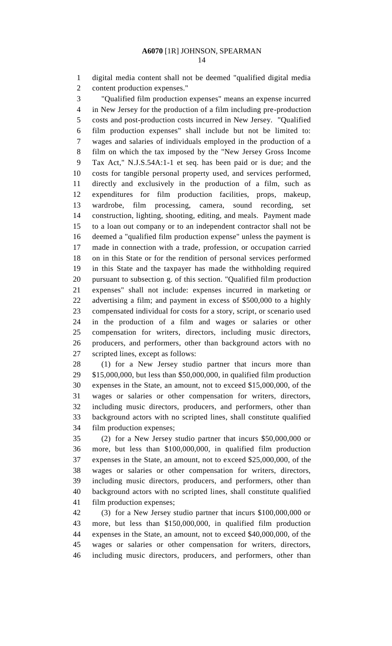digital media content shall not be deemed "qualified digital media content production expenses."

 "Qualified film production expenses" means an expense incurred in New Jersey for the production of a film including pre-production costs and post-production costs incurred in New Jersey. "Qualified film production expenses" shall include but not be limited to: wages and salaries of individuals employed in the production of a film on which the tax imposed by the "New Jersey Gross Income Tax Act," N.J.S.54A:1-1 et seq. has been paid or is due; and the costs for tangible personal property used, and services performed, directly and exclusively in the production of a film, such as expenditures for film production facilities, props, makeup, wardrobe, film processing, camera, sound recording, set construction, lighting, shooting, editing, and meals. Payment made to a loan out company or to an independent contractor shall not be deemed a "qualified film production expense" unless the payment is made in connection with a trade, profession, or occupation carried on in this State or for the rendition of personal services performed in this State and the taxpayer has made the withholding required pursuant to subsection g. of this section. "Qualified film production expenses" shall not include: expenses incurred in marketing or advertising a film; and payment in excess of \$500,000 to a highly compensated individual for costs for a story, script, or scenario used in the production of a film and wages or salaries or other compensation for writers, directors, including music directors, producers, and performers, other than background actors with no scripted lines, except as follows:

 (1) for a New Jersey studio partner that incurs more than \$15,000,000, but less than \$50,000,000, in qualified film production expenses in the State, an amount, not to exceed \$15,000,000, of the wages or salaries or other compensation for writers, directors, including music directors, producers, and performers, other than background actors with no scripted lines, shall constitute qualified film production expenses;

 (2) for a New Jersey studio partner that incurs \$50,000,000 or more, but less than \$100,000,000, in qualified film production expenses in the State, an amount, not to exceed \$25,000,000, of the wages or salaries or other compensation for writers, directors, including music directors, producers, and performers, other than background actors with no scripted lines, shall constitute qualified film production expenses;

 (3) for a New Jersey studio partner that incurs \$100,000,000 or more, but less than \$150,000,000, in qualified film production expenses in the State, an amount, not to exceed \$40,000,000, of the wages or salaries or other compensation for writers, directors, including music directors, producers, and performers, other than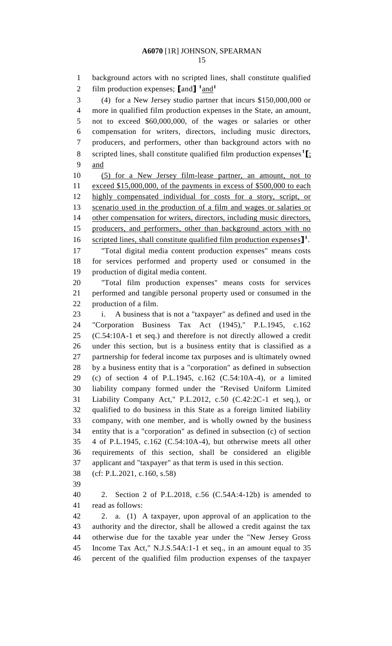background actors with no scripted lines, shall constitute qualified film production expenses;  $\text{land} \cdot \text{1}$   $\text{and} \cdot \text{1}$  (4) for a New Jersey studio partner that incurs \$150,000,000 or more in qualified film production expenses in the State, an amount, not to exceed \$60,000,000, of the wages or salaries or other compensation for writers, directors, including music directors, producers, and performers, other than background actors with no scripted lines, shall constitute qualified film production expenses**<sup>1</sup> [**; and (5) for a New Jersey film-lease partner, an amount, not to exceed \$15,000,000, of the payments in excess of \$500,000 to each highly compensated individual for costs for a story, script, or scenario used in the production of a film and wages or salaries or 14 other compensation for writers, directors, including music directors, producers, and performers, other than background actors with no 16 scripted lines, shall constitute qualified film production expenses<sup>1</sup>. "Total digital media content production expenses" means costs for services performed and property used or consumed in the production of digital media content. "Total film production expenses" means costs for services performed and tangible personal property used or consumed in the production of a film. i. A business that is not a "taxpayer" as defined and used in the "Corporation Business Tax Act (1945)," P.L.1945, c.162 (C.54:10A-1 et seq.) and therefore is not directly allowed a credit under this section, but is a business entity that is classified as a partnership for federal income tax purposes and is ultimately owned by a business entity that is a "corporation" as defined in subsection (c) of section 4 of P.L.1945, c.162 (C.54:10A-4), or a limited liability company formed under the "Revised Uniform Limited Liability Company Act," P.L.2012, c.50 (C.42:2C-1 et seq.), or qualified to do business in this State as a foreign limited liability company, with one member, and is wholly owned by the business entity that is a "corporation" as defined in subsection (c) of section 4 of P.L.1945, c.162 (C.54:10A-4), but otherwise meets all other requirements of this section, shall be considered an eligible applicant and "taxpayer" as that term is used in this section. (cf: P.L.2021, c.160, s.58) 2. Section 2 of P.L.2018, c.56 (C.54A:4-12b) is amended to read as follows: 2. a. (1) A taxpayer, upon approval of an application to the authority and the director, shall be allowed a credit against the tax otherwise due for the taxable year under the "New Jersey Gross Income Tax Act," N.J.S.54A:1-1 et seq., in an amount equal to 35 percent of the qualified film production expenses of the taxpayer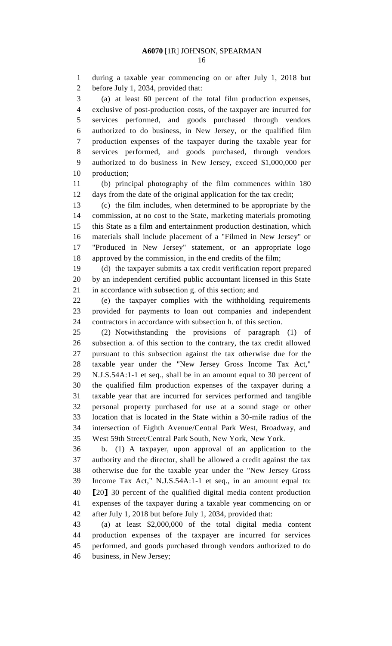during a taxable year commencing on or after July 1, 2018 but before July 1, 2034, provided that:

 (a) at least 60 percent of the total film production expenses, exclusive of post-production costs, of the taxpayer are incurred for services performed, and goods purchased through vendors authorized to do business, in New Jersey, or the qualified film production expenses of the taxpayer during the taxable year for services performed, and goods purchased, through vendors authorized to do business in New Jersey, exceed \$1,000,000 per production;

 (b) principal photography of the film commences within 180 days from the date of the original application for the tax credit;

 (c) the film includes, when determined to be appropriate by the commission, at no cost to the State, marketing materials promoting this State as a film and entertainment production destination, which materials shall include placement of a "Filmed in New Jersey" or "Produced in New Jersey" statement, or an appropriate logo approved by the commission, in the end credits of the film;

 (d) the taxpayer submits a tax credit verification report prepared by an independent certified public accountant licensed in this State in accordance with subsection g. of this section; and

 (e) the taxpayer complies with the withholding requirements provided for payments to loan out companies and independent contractors in accordance with subsection h. of this section.

 (2) Notwithstanding the provisions of paragraph (1) of subsection a. of this section to the contrary, the tax credit allowed pursuant to this subsection against the tax otherwise due for the taxable year under the "New Jersey Gross Income Tax Act," N.J.S.54A:1-1 et seq., shall be in an amount equal to 30 percent of the qualified film production expenses of the taxpayer during a taxable year that are incurred for services performed and tangible personal property purchased for use at a sound stage or other location that is located in the State within a 30-mile radius of the

 intersection of Eighth Avenue/Central Park West, Broadway, and West 59th Street/Central Park South, New York, New York.

 b. (1) A taxpayer, upon approval of an application to the authority and the director, shall be allowed a credit against the tax otherwise due for the taxable year under the "New Jersey Gross Income Tax Act," N.J.S.54A:1-1 et seq., in an amount equal to: **[**20**]** 30 percent of the qualified digital media content production expenses of the taxpayer during a taxable year commencing on or after July 1, 2018 but before July 1, 2034, provided that:

 (a) at least \$2,000,000 of the total digital media content production expenses of the taxpayer are incurred for services performed, and goods purchased through vendors authorized to do business, in New Jersey;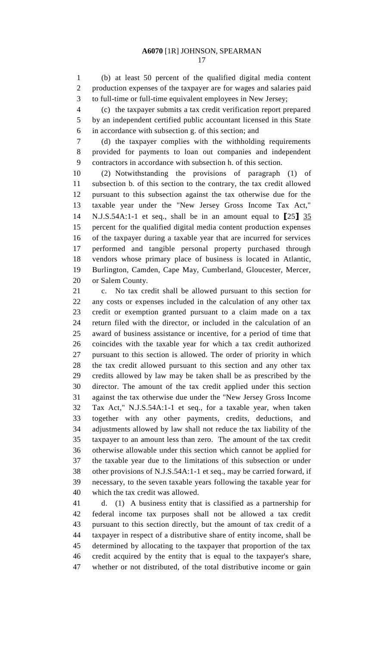(b) at least 50 percent of the qualified digital media content production expenses of the taxpayer are for wages and salaries paid to full-time or full-time equivalent employees in New Jersey;

 (c) the taxpayer submits a tax credit verification report prepared by an independent certified public accountant licensed in this State in accordance with subsection g. of this section; and

 (d) the taxpayer complies with the withholding requirements provided for payments to loan out companies and independent contractors in accordance with subsection h. of this section.

 (2) Notwithstanding the provisions of paragraph (1) of subsection b. of this section to the contrary, the tax credit allowed pursuant to this subsection against the tax otherwise due for the taxable year under the "New Jersey Gross Income Tax Act," N.J.S.54A:1-1 et seq., shall be in an amount equal to **[**25**]** 35 percent for the qualified digital media content production expenses of the taxpayer during a taxable year that are incurred for services performed and tangible personal property purchased through vendors whose primary place of business is located in Atlantic, Burlington, Camden, Cape May, Cumberland, Gloucester, Mercer, or Salem County.

 c. No tax credit shall be allowed pursuant to this section for any costs or expenses included in the calculation of any other tax credit or exemption granted pursuant to a claim made on a tax return filed with the director, or included in the calculation of an award of business assistance or incentive, for a period of time that coincides with the taxable year for which a tax credit authorized pursuant to this section is allowed. The order of priority in which the tax credit allowed pursuant to this section and any other tax credits allowed by law may be taken shall be as prescribed by the director. The amount of the tax credit applied under this section against the tax otherwise due under the "New Jersey Gross Income Tax Act," N.J.S.54A:1-1 et seq., for a taxable year, when taken together with any other payments, credits, deductions, and adjustments allowed by law shall not reduce the tax liability of the taxpayer to an amount less than zero. The amount of the tax credit otherwise allowable under this section which cannot be applied for the taxable year due to the limitations of this subsection or under other provisions of N.J.S.54A:1-1 et seq., may be carried forward, if necessary, to the seven taxable years following the taxable year for which the tax credit was allowed.

 d. (1) A business entity that is classified as a partnership for federal income tax purposes shall not be allowed a tax credit pursuant to this section directly, but the amount of tax credit of a taxpayer in respect of a distributive share of entity income, shall be determined by allocating to the taxpayer that proportion of the tax credit acquired by the entity that is equal to the taxpayer's share, whether or not distributed, of the total distributive income or gain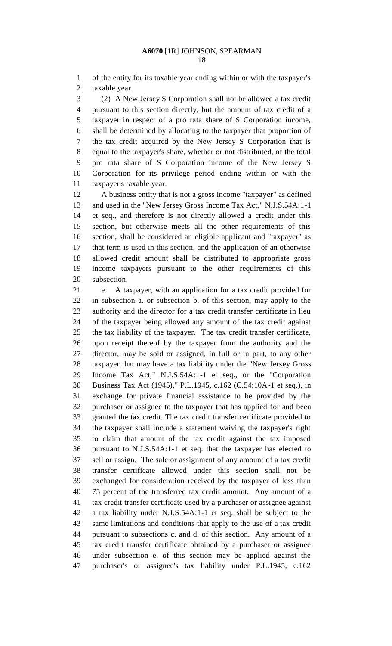of the entity for its taxable year ending within or with the taxpayer's taxable year.

 (2) A New Jersey S Corporation shall not be allowed a tax credit pursuant to this section directly, but the amount of tax credit of a taxpayer in respect of a pro rata share of S Corporation income, shall be determined by allocating to the taxpayer that proportion of the tax credit acquired by the New Jersey S Corporation that is equal to the taxpayer's share, whether or not distributed, of the total pro rata share of S Corporation income of the New Jersey S Corporation for its privilege period ending within or with the taxpayer's taxable year.

 A business entity that is not a gross income "taxpayer" as defined and used in the "New Jersey Gross Income Tax Act," N.J.S.54A:1-1 et seq., and therefore is not directly allowed a credit under this section, but otherwise meets all the other requirements of this section, shall be considered an eligible applicant and "taxpayer" as that term is used in this section, and the application of an otherwise allowed credit amount shall be distributed to appropriate gross income taxpayers pursuant to the other requirements of this subsection.

 e. A taxpayer, with an application for a tax credit provided for in subsection a. or subsection b. of this section, may apply to the authority and the director for a tax credit transfer certificate in lieu of the taxpayer being allowed any amount of the tax credit against the tax liability of the taxpayer. The tax credit transfer certificate, upon receipt thereof by the taxpayer from the authority and the director, may be sold or assigned, in full or in part, to any other taxpayer that may have a tax liability under the "New Jersey Gross Income Tax Act," N.J.S.54A:1-1 et seq., or the "Corporation Business Tax Act (1945)," P.L.1945, c.162 (C.54:10A-1 et seq.), in exchange for private financial assistance to be provided by the purchaser or assignee to the taxpayer that has applied for and been granted the tax credit. The tax credit transfer certificate provided to the taxpayer shall include a statement waiving the taxpayer's right to claim that amount of the tax credit against the tax imposed pursuant to N.J.S.54A:1-1 et seq. that the taxpayer has elected to sell or assign. The sale or assignment of any amount of a tax credit transfer certificate allowed under this section shall not be exchanged for consideration received by the taxpayer of less than 75 percent of the transferred tax credit amount. Any amount of a tax credit transfer certificate used by a purchaser or assignee against a tax liability under N.J.S.54A:1-1 et seq. shall be subject to the same limitations and conditions that apply to the use of a tax credit pursuant to subsections c. and d. of this section. Any amount of a tax credit transfer certificate obtained by a purchaser or assignee under subsection e. of this section may be applied against the purchaser's or assignee's tax liability under P.L.1945, c.162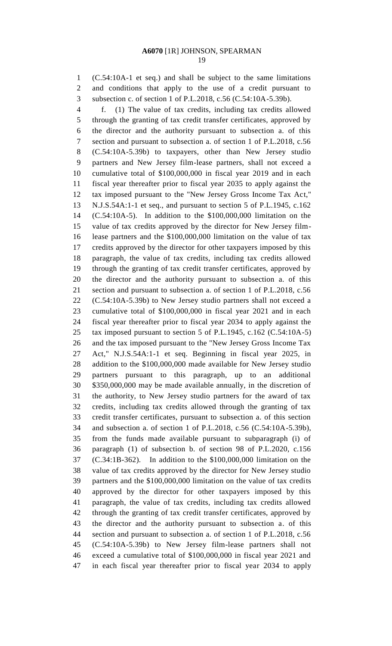(C.54:10A-1 et seq.) and shall be subject to the same limitations and conditions that apply to the use of a credit pursuant to subsection c. of section 1 of P.L.2018, c.56 (C.54:10A-5.39b).

 f. (1) The value of tax credits, including tax credits allowed through the granting of tax credit transfer certificates, approved by the director and the authority pursuant to subsection a. of this section and pursuant to subsection a. of section 1 of P.L.2018, c.56 (C.54:10A-5.39b) to taxpayers, other than New Jersey studio partners and New Jersey film-lease partners, shall not exceed a cumulative total of \$100,000,000 in fiscal year 2019 and in each fiscal year thereafter prior to fiscal year 2035 to apply against the tax imposed pursuant to the "New Jersey Gross Income Tax Act," N.J.S.54A:1-1 et seq., and pursuant to section 5 of P.L.1945, c.162 (C.54:10A-5). In addition to the \$100,000,000 limitation on the value of tax credits approved by the director for New Jersey film- lease partners and the \$100,000,000 limitation on the value of tax credits approved by the director for other taxpayers imposed by this paragraph, the value of tax credits, including tax credits allowed through the granting of tax credit transfer certificates, approved by the director and the authority pursuant to subsection a. of this section and pursuant to subsection a. of section 1 of P.L.2018, c.56 (C.54:10A-5.39b) to New Jersey studio partners shall not exceed a cumulative total of \$100,000,000 in fiscal year 2021 and in each fiscal year thereafter prior to fiscal year 2034 to apply against the tax imposed pursuant to section 5 of P.L.1945, c.162 (C.54:10A-5) and the tax imposed pursuant to the "New Jersey Gross Income Tax Act," N.J.S.54A:1-1 et seq. Beginning in fiscal year 2025, in addition to the \$100,000,000 made available for New Jersey studio partners pursuant to this paragraph, up to an additional \$350,000,000 may be made available annually, in the discretion of the authority, to New Jersey studio partners for the award of tax credits, including tax credits allowed through the granting of tax credit transfer certificates, pursuant to subsection a. of this section and subsection a. of section 1 of P.L.2018, c.56 (C.54:10A-5.39b), from the funds made available pursuant to subparagraph (i) of paragraph (1) of subsection b. of section 98 of P.L.2020, c.156 (C.34:1B-362). In addition to the \$100,000,000 limitation on the value of tax credits approved by the director for New Jersey studio partners and the \$100,000,000 limitation on the value of tax credits approved by the director for other taxpayers imposed by this paragraph, the value of tax credits, including tax credits allowed through the granting of tax credit transfer certificates, approved by the director and the authority pursuant to subsection a. of this section and pursuant to subsection a. of section 1 of P.L.2018, c.56 (C.54:10A-5.39b) to New Jersey film-lease partners shall not exceed a cumulative total of \$100,000,000 in fiscal year 2021 and in each fiscal year thereafter prior to fiscal year 2034 to apply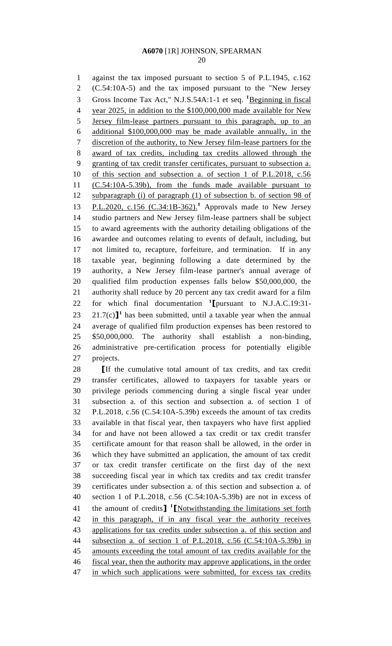against the tax imposed pursuant to section 5 of P.L.1945, c.162 (C.54:10A-5) and the tax imposed pursuant to the "New Jersey 3 Gross Income Tax Act," N.J.S.54A:1-1 et seq. <sup>1</sup>Beginning in fiscal year 2025, in addition to the \$100,000,000 made available for New Jersey film-lease partners pursuant to this paragraph, up to an additional \$100,000,000 may be made available annually, in the discretion of the authority, to New Jersey film-lease partners for the award of tax credits, including tax credits allowed through the granting of tax credit transfer certificates, pursuant to subsection a. of this section and subsection a. of section 1 of P.L.2018, c.56 (C.54:10A-5.39b), from the funds made available pursuant to subparagraph (i) of paragraph (1) of subsection b. of section 98 of 13 P.L.2020, c.156 (C.34:1B-362).<sup>1</sup> Approvals made to New Jersey studio partners and New Jersey film-lease partners shall be subject to award agreements with the authority detailing obligations of the awardee and outcomes relating to events of default, including, but not limited to, recapture, forfeiture, and termination. If in any taxable year, beginning following a date determined by the authority, a New Jersey film-lease partner's annual average of qualified film production expenses falls below \$50,000,000, the authority shall reduce by 20 percent any tax credit award for a film for which final documentation **<sup>1</sup> [**pursuant to N.J.A.C.19:31-  $21.7(c)$ <sup>1</sup> has been submitted, until a taxable year when the annual average of qualified film production expenses has been restored to \$50,000,000. The authority shall establish a non-binding, administrative pre-certification process for potentially eligible projects.

 **[**If the cumulative total amount of tax credits, and tax credit transfer certificates, allowed to taxpayers for taxable years or privilege periods commencing during a single fiscal year under subsection a. of this section and subsection a. of section 1 of P.L.2018, c.56 (C.54:10A-5.39b) exceeds the amount of tax credits available in that fiscal year, then taxpayers who have first applied for and have not been allowed a tax credit or tax credit transfer certificate amount for that reason shall be allowed, in the order in which they have submitted an application, the amount of tax credit or tax credit transfer certificate on the first day of the next succeeding fiscal year in which tax credits and tax credit transfer certificates under subsection a. of this section and subsection a. of section 1 of P.L.2018, c.56 (C.54:10A-5.39b) are not in excess of the amount of credits**] 1 [**Notwithstanding the limitations set forth in this paragraph, if in any fiscal year the authority receives applications for tax credits under subsection a. of this section and subsection a. of section 1 of P.L.2018, c.56 (C.54:10A-5.39b) in amounts exceeding the total amount of tax credits available for the 46 fiscal year, then the authority may approve applications, in the order 47 in which such applications were submitted, for excess tax credits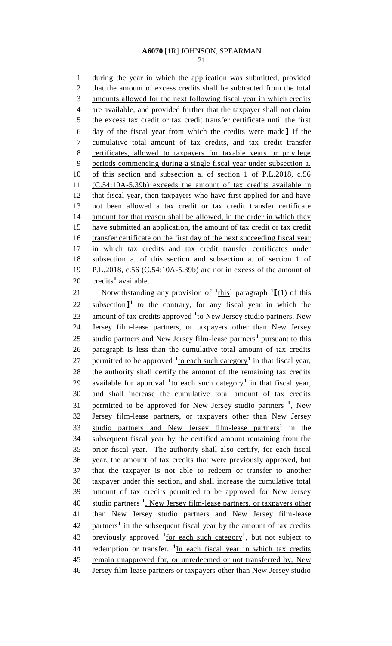21

1 during the year in which the application was submitted, provided 2 that the amount of excess credits shall be subtracted from the total 3 amounts allowed for the next following fiscal year in which credits 4 are available, and provided further that the taxpayer shall not claim 5 the excess tax credit or tax credit transfer certificate until the first 6 day of the fiscal year from which the credits were made**]** If the 7 cumulative total amount of tax credits, and tax credit transfer 8 certificates, allowed to taxpayers for taxable years or privilege 9 periods commencing during a single fiscal year under subsection a. 10 of this section and subsection a. of section 1 of P.L.2018, c.56 11 (C.54:10A-5.39b) exceeds the amount of tax credits available in 12 that fiscal year, then taxpayers who have first applied for and have 13 not been allowed a tax credit or tax credit transfer certificate 14 amount for that reason shall be allowed, in the order in which they 15 have submitted an application, the amount of tax credit or tax credit 16 transfer certificate on the first day of the next succeeding fiscal year 17 in which tax credits and tax credit transfer certificates under 18 subsection a. of this section and subsection a. of section 1 of 19 P.L.2018, c.56 (C.54:10A-5.39b) are not in excess of the amount of 20 credits<sup>1</sup> available. 21 **Notwithstanding any provision of**  $\frac{1 \text{ this}}{1}$  **paragraph**  $\frac{1}{1}$  **(1) of this** 22 subsection<sup> $\mathbf{I}^1$ </sup> to the contrary, for any fiscal year in which the 23 amount of tax credits approved <sup>1</sup><sup>to</sup> New Jersey studio partners, New 24 Jersey film-lease partners, or taxpayers other than New Jersey 25 studio partners and New Jersey film-lease partners<sup>1</sup> pursuant to this 26 paragraph is less than the cumulative total amount of tax credits 27 permitted to be approved  $\frac{1}{10}$  each such category<sup>1</sup> in that fiscal year, 28 the authority shall certify the amount of the remaining tax credits 29 available for approval <sup>1</sup>to each such category<sup>1</sup> in that fiscal year, 30 and shall increase the cumulative total amount of tax credits 31 permitted to be approved for New Jersey studio partners <sup>1</sup>, New

32 Jersey film-lease partners, or taxpayers other than New Jersey 33 studio partners and New Jersey film-lease partners<sup>1</sup> in the 34 subsequent fiscal year by the certified amount remaining from the 35 prior fiscal year. The authority shall also certify, for each fiscal 36 year, the amount of tax credits that were previously approved, but 37 that the taxpayer is not able to redeem or transfer to another 38 taxpayer under this section, and shall increase the cumulative total 39 amount of tax credits permitted to be approved for New Jersey 40 studio partners <sup>1</sup>, New Jersey film-lease partners, or taxpayers other 41 than New Jersey studio partners and New Jersey film-lease 42 partners<sup>1</sup> in the subsequent fiscal year by the amount of tax credits 43 previously approved <sup>1</sup> <u>for each such category</u><sup>1</sup>, but not subject to 44 redemption or transfer. <sup>1</sup>In each fiscal year in which tax credits 45 remain unapproved for, or unredeemed or not transferred by, New 46 Jersey film-lease partners or taxpayers other than New Jersey studio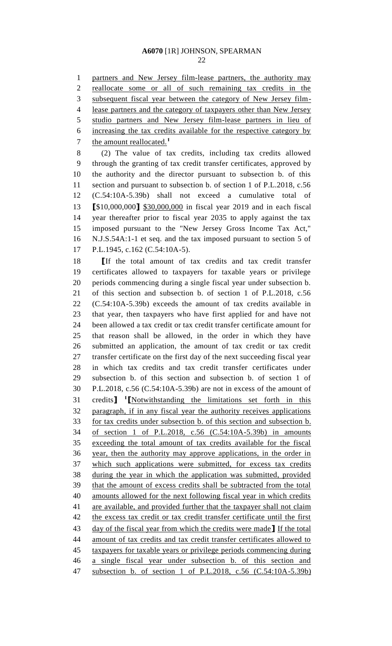partners and New Jersey film-lease partners, the authority may

 reallocate some or all of such remaining tax credits in the subsequent fiscal year between the category of New Jersey film- lease partners and the category of taxpayers other than New Jersey studio partners and New Jersey film-lease partners in lieu of increasing the tax credits available for the respective category by the amount reallocated.**<sup>1</sup>** (2) The value of tax credits, including tax credits allowed through the granting of tax credit transfer certificates, approved by the authority and the director pursuant to subsection b. of this section and pursuant to subsection b. of section 1 of P.L.2018, c.56 (C.54:10A-5.39b) shall not exceed a cumulative total of **[**\$10,000,000**]** \$30,000,000 in fiscal year 2019 and in each fiscal year thereafter prior to fiscal year 2035 to apply against the tax imposed pursuant to the "New Jersey Gross Income Tax Act," N.J.S.54A:1-1 et seq. and the tax imposed pursuant to section 5 of P.L.1945, c.162 (C.54:10A-5). **[**If the total amount of tax credits and tax credit transfer certificates allowed to taxpayers for taxable years or privilege periods commencing during a single fiscal year under subsection b. of this section and subsection b. of section 1 of P.L.2018, c.56 (C.54:10A-5.39b) exceeds the amount of tax credits available in that year, then taxpayers who have first applied for and have not been allowed a tax credit or tax credit transfer certificate amount for that reason shall be allowed, in the order in which they have submitted an application, the amount of tax credit or tax credit transfer certificate on the first day of the next succeeding fiscal year in which tax credits and tax credit transfer certificates under subsection b. of this section and subsection b. of section 1 of P.L.2018, c.56 (C.54:10A-5.39b) are not in excess of the amount of credits**] 1 [**Notwithstanding the limitations set forth in this paragraph, if in any fiscal year the authority receives applications for tax credits under subsection b. of this section and subsection b. of section 1 of P.L.2018, c.56 (C.54:10A-5.39b) in amounts exceeding the total amount of tax credits available for the fiscal year, then the authority may approve applications, in the order in which such applications were submitted, for excess tax credits during the year in which the application was submitted, provided that the amount of excess credits shall be subtracted from the total amounts allowed for the next following fiscal year in which credits 41 are available, and provided further that the taxpayer shall not claim 42 the excess tax credit or tax credit transfer certificate until the first day of the fiscal year from which the credits were made**]** If the total amount of tax credits and tax credit transfer certificates allowed to taxpayers for taxable years or privilege periods commencing during a single fiscal year under subsection b. of this section and

subsection b. of section 1 of P.L.2018, c.56 (C.54:10A-5.39b)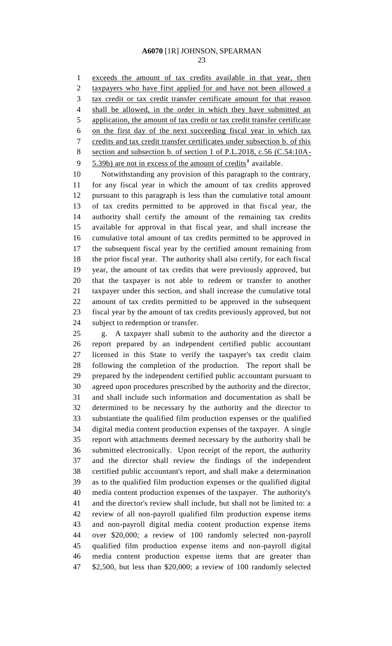exceeds the amount of tax credits available in that year, then taxpayers who have first applied for and have not been allowed a tax credit or tax credit transfer certificate amount for that reason shall be allowed, in the order in which they have submitted an application, the amount of tax credit or tax credit transfer certificate on the first day of the next succeeding fiscal year in which tax credits and tax credit transfer certificates under subsection b. of this section and subsection b. of section 1 of P.L.2018, c.56 (C.54:10A-5.39b) are not in excess of the amount of credits<sup>1</sup> available.

 Notwithstanding any provision of this paragraph to the contrary, for any fiscal year in which the amount of tax credits approved pursuant to this paragraph is less than the cumulative total amount of tax credits permitted to be approved in that fiscal year, the authority shall certify the amount of the remaining tax credits available for approval in that fiscal year, and shall increase the cumulative total amount of tax credits permitted to be approved in the subsequent fiscal year by the certified amount remaining from the prior fiscal year. The authority shall also certify, for each fiscal year, the amount of tax credits that were previously approved, but that the taxpayer is not able to redeem or transfer to another taxpayer under this section, and shall increase the cumulative total amount of tax credits permitted to be approved in the subsequent fiscal year by the amount of tax credits previously approved, but not subject to redemption or transfer.

 g. A taxpayer shall submit to the authority and the director a report prepared by an independent certified public accountant licensed in this State to verify the taxpayer's tax credit claim following the completion of the production. The report shall be prepared by the independent certified public accountant pursuant to agreed upon procedures prescribed by the authority and the director, and shall include such information and documentation as shall be determined to be necessary by the authority and the director to substantiate the qualified film production expenses or the qualified digital media content production expenses of the taxpayer. A single report with attachments deemed necessary by the authority shall be submitted electronically. Upon receipt of the report, the authority and the director shall review the findings of the independent certified public accountant's report, and shall make a determination as to the qualified film production expenses or the qualified digital media content production expenses of the taxpayer. The authority's and the director's review shall include, but shall not be limited to: a review of all non-payroll qualified film production expense items and non-payroll digital media content production expense items over \$20,000; a review of 100 randomly selected non-payroll qualified film production expense items and non-payroll digital media content production expense items that are greater than \$2,500, but less than \$20,000; a review of 100 randomly selected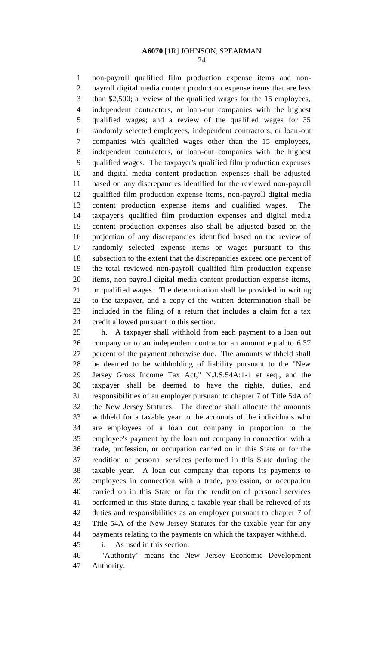non-payroll qualified film production expense items and non- payroll digital media content production expense items that are less than \$2,500; a review of the qualified wages for the 15 employees, independent contractors, or loan-out companies with the highest qualified wages; and a review of the qualified wages for 35 randomly selected employees, independent contractors, or loan-out companies with qualified wages other than the 15 employees, independent contractors, or loan-out companies with the highest qualified wages. The taxpayer's qualified film production expenses and digital media content production expenses shall be adjusted based on any discrepancies identified for the reviewed non-payroll qualified film production expense items, non-payroll digital media content production expense items and qualified wages. The taxpayer's qualified film production expenses and digital media content production expenses also shall be adjusted based on the projection of any discrepancies identified based on the review of randomly selected expense items or wages pursuant to this subsection to the extent that the discrepancies exceed one percent of the total reviewed non-payroll qualified film production expense items, non-payroll digital media content production expense items, or qualified wages. The determination shall be provided in writing to the taxpayer, and a copy of the written determination shall be included in the filing of a return that includes a claim for a tax credit allowed pursuant to this section.

 h. A taxpayer shall withhold from each payment to a loan out company or to an independent contractor an amount equal to 6.37 percent of the payment otherwise due. The amounts withheld shall be deemed to be withholding of liability pursuant to the "New Jersey Gross Income Tax Act," N.J.S.54A:1-1 et seq., and the taxpayer shall be deemed to have the rights, duties, and responsibilities of an employer pursuant to chapter 7 of Title 54A of the New Jersey Statutes. The director shall allocate the amounts withheld for a taxable year to the accounts of the individuals who are employees of a loan out company in proportion to the employee's payment by the loan out company in connection with a trade, profession, or occupation carried on in this State or for the rendition of personal services performed in this State during the taxable year. A loan out company that reports its payments to employees in connection with a trade, profession, or occupation carried on in this State or for the rendition of personal services performed in this State during a taxable year shall be relieved of its duties and responsibilities as an employer pursuant to chapter 7 of Title 54A of the New Jersey Statutes for the taxable year for any payments relating to the payments on which the taxpayer withheld.

i. As used in this section:

 "Authority" means the New Jersey Economic Development Authority.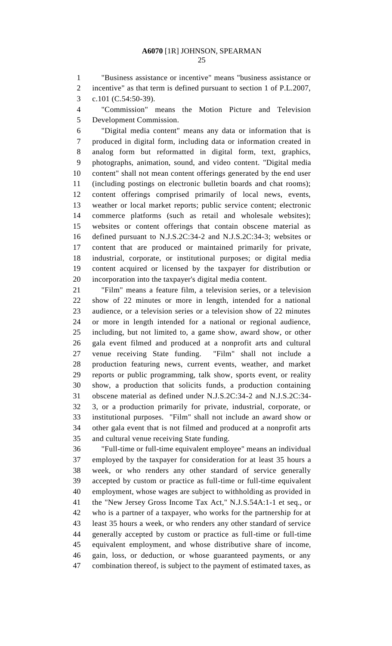"Business assistance or incentive" means "business assistance or incentive" as that term is defined pursuant to section 1 of P.L.2007,

c.101 (C.54:50-39).

 "Commission" means the Motion Picture and Television Development Commission.

 "Digital media content" means any data or information that is produced in digital form, including data or information created in analog form but reformatted in digital form, text, graphics, photographs, animation, sound, and video content. "Digital media content" shall not mean content offerings generated by the end user (including postings on electronic bulletin boards and chat rooms); content offerings comprised primarily of local news, events, weather or local market reports; public service content; electronic commerce platforms (such as retail and wholesale websites); websites or content offerings that contain obscene material as defined pursuant to N.J.S.2C:34-2 and N.J.S.2C:34-3; websites or content that are produced or maintained primarily for private, industrial, corporate, or institutional purposes; or digital media content acquired or licensed by the taxpayer for distribution or incorporation into the taxpayer's digital media content.

 "Film" means a feature film, a television series, or a television show of 22 minutes or more in length, intended for a national audience, or a television series or a television show of 22 minutes or more in length intended for a national or regional audience, including, but not limited to, a game show, award show, or other gala event filmed and produced at a nonprofit arts and cultural venue receiving State funding. "Film" shall not include a production featuring news, current events, weather, and market reports or public programming, talk show, sports event, or reality show, a production that solicits funds, a production containing obscene material as defined under N.J.S.2C:34-2 and N.J.S.2C:34- 3, or a production primarily for private, industrial, corporate, or institutional purposes. "Film" shall not include an award show or other gala event that is not filmed and produced at a nonprofit arts and cultural venue receiving State funding.

 "Full-time or full-time equivalent employee" means an individual employed by the taxpayer for consideration for at least 35 hours a week, or who renders any other standard of service generally accepted by custom or practice as full-time or full-time equivalent employment, whose wages are subject to withholding as provided in the "New Jersey Gross Income Tax Act," N.J.S.54A:1-1 et seq., or who is a partner of a taxpayer, who works for the partnership for at least 35 hours a week, or who renders any other standard of service generally accepted by custom or practice as full-time or full-time equivalent employment, and whose distributive share of income, gain, loss, or deduction, or whose guaranteed payments, or any combination thereof, is subject to the payment of estimated taxes, as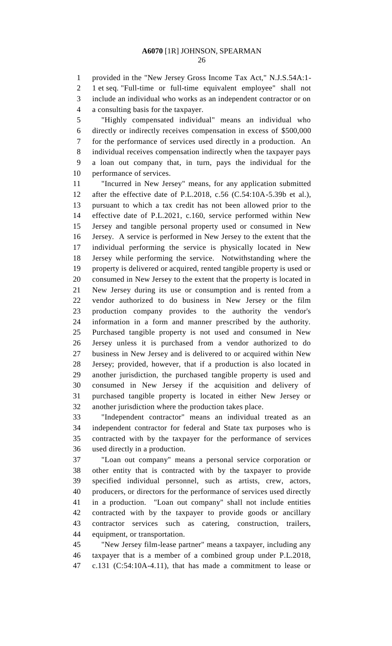provided in the "New Jersey Gross Income Tax Act," N.J.S.54A:1- 1 et seq. "Full-time or full-time equivalent employee" shall not include an individual who works as an independent contractor or on a consulting basis for the taxpayer.

 "Highly compensated individual" means an individual who directly or indirectly receives compensation in excess of \$500,000 for the performance of services used directly in a production. An individual receives compensation indirectly when the taxpayer pays a loan out company that, in turn, pays the individual for the performance of services.

 "Incurred in New Jersey" means, for any application submitted after the effective date of P.L.2018, c.56 (C.54:10A-5.39b et al.), pursuant to which a tax credit has not been allowed prior to the effective date of P.L.2021, c.160, service performed within New Jersey and tangible personal property used or consumed in New Jersey. A service is performed in New Jersey to the extent that the individual performing the service is physically located in New Jersey while performing the service. Notwithstanding where the property is delivered or acquired, rented tangible property is used or consumed in New Jersey to the extent that the property is located in New Jersey during its use or consumption and is rented from a vendor authorized to do business in New Jersey or the film production company provides to the authority the vendor's information in a form and manner prescribed by the authority. Purchased tangible property is not used and consumed in New Jersey unless it is purchased from a vendor authorized to do business in New Jersey and is delivered to or acquired within New Jersey; provided, however, that if a production is also located in another jurisdiction, the purchased tangible property is used and consumed in New Jersey if the acquisition and delivery of purchased tangible property is located in either New Jersey or another jurisdiction where the production takes place.

 "Independent contractor" means an individual treated as an independent contractor for federal and State tax purposes who is contracted with by the taxpayer for the performance of services used directly in a production.

 "Loan out company" means a personal service corporation or other entity that is contracted with by the taxpayer to provide specified individual personnel, such as artists, crew, actors, producers, or directors for the performance of services used directly in a production. "Loan out company" shall not include entities contracted with by the taxpayer to provide goods or ancillary contractor services such as catering, construction, trailers, equipment, or transportation.

 "New Jersey film-lease partner" means a taxpayer, including any taxpayer that is a member of a combined group under P.L.2018, c.131 (C:54:10A-4.11), that has made a commitment to lease or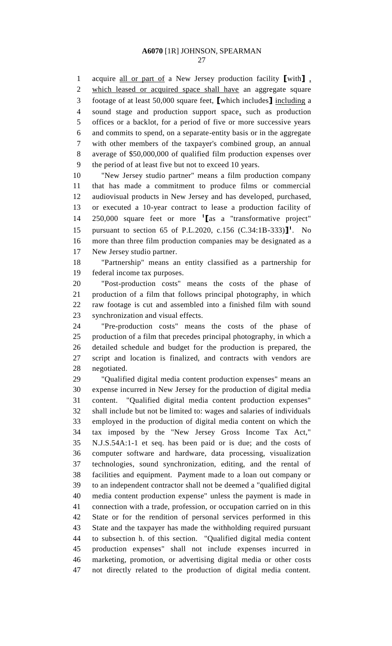acquire all or part of a New Jersey production facility **[**with**]** , which leased or acquired space shall have an aggregate square footage of at least 50,000 square feet, **[**which includes**]** including a sound stage and production support space, such as production offices or a backlot, for a period of five or more successive years and commits to spend, on a separate-entity basis or in the aggregate with other members of the taxpayer's combined group, an annual average of \$50,000,000 of qualified film production expenses over the period of at least five but not to exceed 10 years.

 "New Jersey studio partner" means a film production company that has made a commitment to produce films or commercial audiovisual products in New Jersey and has developed, purchased, or executed a 10-year contract to lease a production facility of 250,000 square feet or more **<sup>1</sup> [**as a "transformative project" 15 pursuant to section 65 of P.L.2020, c.156 (C.34:1B-333)<sup>1</sup>. No more than three film production companies may be designated as a New Jersey studio partner.

 "Partnership" means an entity classified as a partnership for federal income tax purposes.

 "Post-production costs" means the costs of the phase of production of a film that follows principal photography, in which raw footage is cut and assembled into a finished film with sound synchronization and visual effects.

 "Pre-production costs" means the costs of the phase of production of a film that precedes principal photography, in which a detailed schedule and budget for the production is prepared, the script and location is finalized, and contracts with vendors are negotiated.

 "Qualified digital media content production expenses" means an expense incurred in New Jersey for the production of digital media content. "Qualified digital media content production expenses" shall include but not be limited to: wages and salaries of individuals employed in the production of digital media content on which the tax imposed by the "New Jersey Gross Income Tax Act," N.J.S.54A:1-1 et seq. has been paid or is due; and the costs of computer software and hardware, data processing, visualization technologies, sound synchronization, editing, and the rental of facilities and equipment. Payment made to a loan out company or to an independent contractor shall not be deemed a "qualified digital media content production expense" unless the payment is made in connection with a trade, profession, or occupation carried on in this State or for the rendition of personal services performed in this State and the taxpayer has made the withholding required pursuant to subsection h. of this section. "Qualified digital media content production expenses" shall not include expenses incurred in marketing, promotion, or advertising digital media or other costs not directly related to the production of digital media content.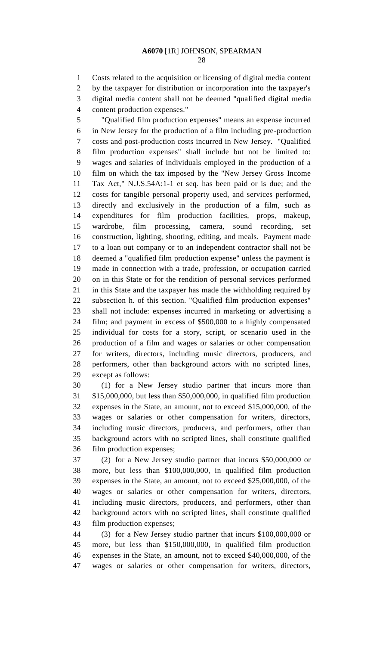Costs related to the acquisition or licensing of digital media content by the taxpayer for distribution or incorporation into the taxpayer's digital media content shall not be deemed "qualified digital media content production expenses."

 "Qualified film production expenses" means an expense incurred in New Jersey for the production of a film including pre-production costs and post-production costs incurred in New Jersey. "Qualified film production expenses" shall include but not be limited to: wages and salaries of individuals employed in the production of a film on which the tax imposed by the "New Jersey Gross Income Tax Act," N.J.S.54A:1-1 et seq. has been paid or is due; and the costs for tangible personal property used, and services performed, directly and exclusively in the production of a film, such as expenditures for film production facilities, props, makeup, wardrobe, film processing, camera, sound recording, set construction, lighting, shooting, editing, and meals. Payment made to a loan out company or to an independent contractor shall not be deemed a "qualified film production expense" unless the payment is made in connection with a trade, profession, or occupation carried on in this State or for the rendition of personal services performed in this State and the taxpayer has made the withholding required by subsection h. of this section. "Qualified film production expenses" shall not include: expenses incurred in marketing or advertising a film; and payment in excess of \$500,000 to a highly compensated individual for costs for a story, script, or scenario used in the production of a film and wages or salaries or other compensation for writers, directors, including music directors, producers, and performers, other than background actors with no scripted lines, except as follows:

 (1) for a New Jersey studio partner that incurs more than \$15,000,000, but less than \$50,000,000, in qualified film production expenses in the State, an amount, not to exceed \$15,000,000, of the wages or salaries or other compensation for writers, directors, including music directors, producers, and performers, other than background actors with no scripted lines, shall constitute qualified film production expenses;

 (2) for a New Jersey studio partner that incurs \$50,000,000 or more, but less than \$100,000,000, in qualified film production expenses in the State, an amount, not to exceed \$25,000,000, of the wages or salaries or other compensation for writers, directors, including music directors, producers, and performers, other than background actors with no scripted lines, shall constitute qualified film production expenses;

 (3) for a New Jersey studio partner that incurs \$100,000,000 or more, but less than \$150,000,000, in qualified film production expenses in the State, an amount, not to exceed \$40,000,000, of the wages or salaries or other compensation for writers, directors,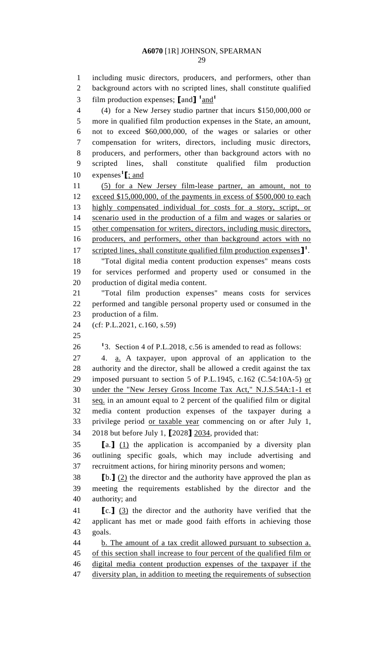including music directors, producers, and performers, other than background actors with no scripted lines, shall constitute qualified film production expenses;  $\text{land} \cdot \text{1}$   $\text{and} \cdot \text{1}$  (4) for a New Jersey studio partner that incurs \$150,000,000 or more in qualified film production expenses in the State, an amount, not to exceed \$60,000,000, of the wages or salaries or other compensation for writers, directors, including music directors, producers, and performers, other than background actors with no scripted lines, shall constitute qualified film production 10 expenses<sup>1</sup>[; and (5) for a New Jersey film-lease partner, an amount, not to exceed \$15,000,000, of the payments in excess of \$500,000 to each highly compensated individual for costs for a story, script, or scenario used in the production of a film and wages or salaries or other compensation for writers, directors, including music directors, producers, and performers, other than background actors with no 17 scripted lines, shall constitute qualified film production expenses<sup>1</sup>. "Total digital media content production expenses" means costs for services performed and property used or consumed in the production of digital media content. "Total film production expenses" means costs for services performed and tangible personal property used or consumed in the production of a film. (cf: P.L.2021, c.160, s.59)  $\frac{1}{3}$ . Section 4 of P.L.2018, c.56 is amended to read as follows: 4. a. A taxpayer, upon approval of an application to the authority and the director, shall be allowed a credit against the tax imposed pursuant to section 5 of P.L.1945, c.162 (C.54:10A-5) or under the "New Jersey Gross Income Tax Act," N.J.S.54A:1-1 et seq. in an amount equal to 2 percent of the qualified film or digital media content production expenses of the taxpayer during a privilege period or taxable year commencing on or after July 1, 2018 but before July 1, **[**2028**]** 2034, provided that: **[**a.**]** (1) the application is accompanied by a diversity plan outlining specific goals, which may include advertising and recruitment actions, for hiring minority persons and women; **[**b.**]** (2) the director and the authority have approved the plan as meeting the requirements established by the director and the authority; and **[**c.**]** (3) the director and the authority have verified that the applicant has met or made good faith efforts in achieving those goals. b. The amount of a tax credit allowed pursuant to subsection a. of this section shall increase to four percent of the qualified film or digital media content production expenses of the taxpayer if the

47 diversity plan, in addition to meeting the requirements of subsection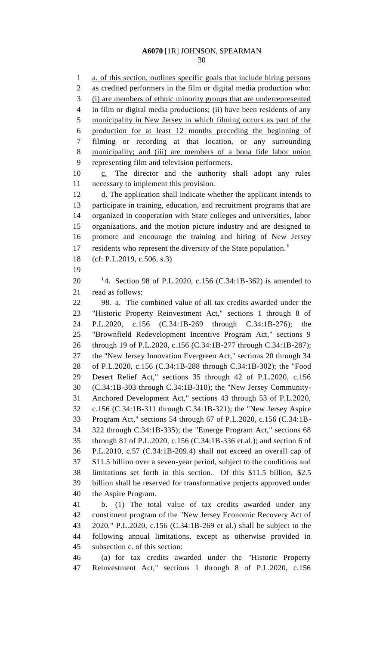a. of this section, outlines specific goals that include hiring persons as credited performers in the film or digital media production who: (i) are members of ethnic minority groups that are underrepresented 4 in film or digital media productions; (ii) have been residents of any municipality in New Jersey in which filming occurs as part of the production for at least 12 months preceding the beginning of filming or recording at that location, or any surrounding municipality; and (iii) are members of a bona fide labor union representing film and television performers. 10 c. The director and the authority shall adopt any rules necessary to implement this provision. 12 d. The application shall indicate whether the applicant intends to participate in training, education, and recruitment programs that are organized in cooperation with State colleges and universities, labor organizations, and the motion picture industry and are designed to promote and encourage the training and hiring of New Jersey residents who represent the diversity of the State population.**<sup>1</sup>** (cf: P.L.2019, c.506, s.3) 4. Section 98 of P.L.2020, c.156 (C.34:1B-362) is amended to read as follows: 98. a. The combined value of all tax credits awarded under the "Historic Property Reinvestment Act," sections 1 through 8 of P.L.2020, c.156 (C.34:1B-269 through C.34:1B-276); the "Brownfield Redevelopment Incentive Program Act," sections 9 through 19 of P.L.2020, c.156 (C.34:1B-277 through C.34:1B-287); the "New Jersey Innovation Evergreen Act," sections 20 through 34 of P.L.2020, c.156 (C.34:1B-288 through C.34:1B-302); the "Food Desert Relief Act," sections 35 through 42 of P.L.2020, c.156 (C.34:1B-303 through C.34:1B-310); the "New Jersey Community- Anchored Development Act," sections 43 through 53 of P.L.2020, c.156 (C.34:1B-311 through C.34:1B-321); the "New Jersey Aspire Program Act," sections 54 through 67 of P.L.2020, c.156 (C.34:1B- 322 through C.34:1B-335); the "Emerge Program Act," sections 68 through 81 of P.L.2020, c.156 (C.34:1B-336 et al.); and section 6 of P.L.2010, c.57 (C.34:1B-209.4) shall not exceed an overall cap of \$11.5 billion over a seven-year period, subject to the conditions and limitations set forth in this section. Of this \$11.5 billion, \$2.5 billion shall be reserved for transformative projects approved under the Aspire Program. b. (1) The total value of tax credits awarded under any constituent program of the "New Jersey Economic Recovery Act of 2020," P.L.2020, c.156 (C.34:1B-269 et al.) shall be subject to the following annual limitations, except as otherwise provided in subsection c. of this section: (a) for tax credits awarded under the "Historic Property

Reinvestment Act," sections 1 through 8 of P.L.2020, c.156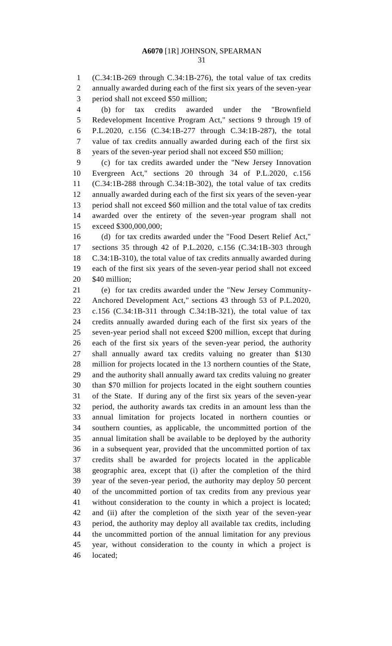(C.34:1B-269 through C.34:1B-276), the total value of tax credits annually awarded during each of the first six years of the seven-year period shall not exceed \$50 million;

 (b) for tax credits awarded under the "Brownfield Redevelopment Incentive Program Act," sections 9 through 19 of P.L.2020, c.156 (C.34:1B-277 through C.34:1B-287), the total value of tax credits annually awarded during each of the first six years of the seven-year period shall not exceed \$50 million;

 (c) for tax credits awarded under the "New Jersey Innovation Evergreen Act," sections 20 through 34 of P.L.2020, c.156 (C.34:1B-288 through C.34:1B-302), the total value of tax credits annually awarded during each of the first six years of the seven-year period shall not exceed \$60 million and the total value of tax credits awarded over the entirety of the seven-year program shall not exceed \$300,000,000;

 (d) for tax credits awarded under the "Food Desert Relief Act," sections 35 through 42 of P.L.2020, c.156 (C.34:1B-303 through C.34:1B-310), the total value of tax credits annually awarded during each of the first six years of the seven-year period shall not exceed \$40 million;

 (e) for tax credits awarded under the "New Jersey Community- Anchored Development Act," sections 43 through 53 of P.L.2020, c.156 (C.34:1B-311 through C.34:1B-321), the total value of tax credits annually awarded during each of the first six years of the seven-year period shall not exceed \$200 million, except that during each of the first six years of the seven-year period, the authority shall annually award tax credits valuing no greater than \$130 million for projects located in the 13 northern counties of the State, and the authority shall annually award tax credits valuing no greater than \$70 million for projects located in the eight southern counties of the State. If during any of the first six years of the seven-year period, the authority awards tax credits in an amount less than the annual limitation for projects located in northern counties or southern counties, as applicable, the uncommitted portion of the annual limitation shall be available to be deployed by the authority in a subsequent year, provided that the uncommitted portion of tax credits shall be awarded for projects located in the applicable geographic area, except that (i) after the completion of the third year of the seven-year period, the authority may deploy 50 percent of the uncommitted portion of tax credits from any previous year without consideration to the county in which a project is located; and (ii) after the completion of the sixth year of the seven-year period, the authority may deploy all available tax credits, including the uncommitted portion of the annual limitation for any previous year, without consideration to the county in which a project is located;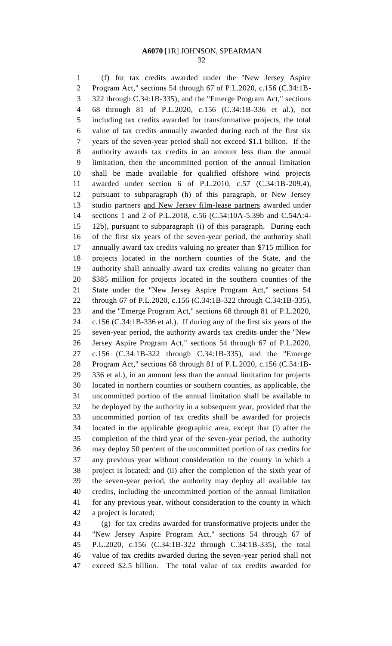(f) for tax credits awarded under the "New Jersey Aspire Program Act," sections 54 through 67 of P.L.2020, c.156 (C.34:1B- 322 through C.34:1B-335), and the "Emerge Program Act," sections 68 through 81 of P.L.2020, c.156 (C.34:1B-336 et al.), not including tax credits awarded for transformative projects, the total value of tax credits annually awarded during each of the first six years of the seven-year period shall not exceed \$1.1 billion. If the authority awards tax credits in an amount less than the annual limitation, then the uncommitted portion of the annual limitation shall be made available for qualified offshore wind projects awarded under section 6 of P.L.2010, c.57 (C.34:1B-209.4), pursuant to subparagraph (h) of this paragraph, or New Jersey studio partners and New Jersey film-lease partners awarded under sections 1 and 2 of P.L.2018, c.56 (C.54:10A-5.39b and C.54A:4- 12b), pursuant to subparagraph (i) of this paragraph. During each of the first six years of the seven-year period, the authority shall annually award tax credits valuing no greater than \$715 million for projects located in the northern counties of the State, and the authority shall annually award tax credits valuing no greater than \$385 million for projects located in the southern counties of the State under the "New Jersey Aspire Program Act," sections 54 through 67 of P.L.2020, c.156 (C.34:1B-322 through C.34:1B-335), and the "Emerge Program Act," sections 68 through 81 of P.L.2020, c.156 (C.34:1B-336 et al.). If during any of the first six years of the seven-year period, the authority awards tax credits under the "New Jersey Aspire Program Act," sections 54 through 67 of P.L.2020, c.156 (C.34:1B-322 through C.34:1B-335), and the "Emerge Program Act," sections 68 through 81 of P.L.2020, c.156 (C.34:1B- 336 et al.), in an amount less than the annual limitation for projects located in northern counties or southern counties, as applicable, the uncommitted portion of the annual limitation shall be available to be deployed by the authority in a subsequent year, provided that the uncommitted portion of tax credits shall be awarded for projects located in the applicable geographic area, except that (i) after the completion of the third year of the seven-year period, the authority may deploy 50 percent of the uncommitted portion of tax credits for any previous year without consideration to the county in which a project is located; and (ii) after the completion of the sixth year of the seven-year period, the authority may deploy all available tax credits, including the uncommitted portion of the annual limitation for any previous year, without consideration to the county in which a project is located;

 (g) for tax credits awarded for transformative projects under the "New Jersey Aspire Program Act," sections 54 through 67 of P.L.2020, c.156 (C.34:1B-322 through C.34:1B-335), the total value of tax credits awarded during the seven-year period shall not exceed \$2.5 billion. The total value of tax credits awarded for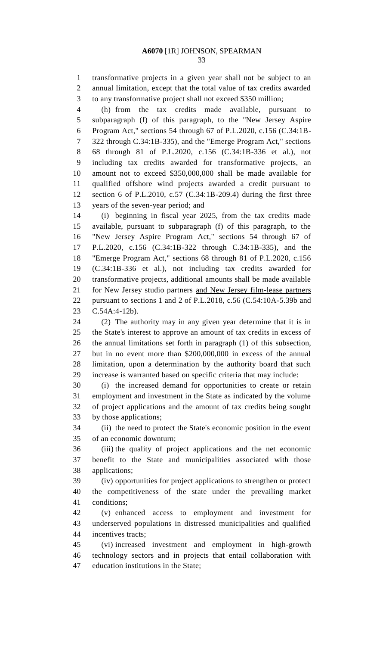transformative projects in a given year shall not be subject to an annual limitation, except that the total value of tax credits awarded to any transformative project shall not exceed \$350 million;

 (h) from the tax credits made available, pursuant to subparagraph (f) of this paragraph, to the "New Jersey Aspire Program Act," sections 54 through 67 of P.L.2020, c.156 (C.34:1B- 322 through C.34:1B-335), and the "Emerge Program Act," sections 68 through 81 of P.L.2020, c.156 (C.34:1B-336 et al.), not including tax credits awarded for transformative projects, an amount not to exceed \$350,000,000 shall be made available for qualified offshore wind projects awarded a credit pursuant to section 6 of P.L.2010, c.57 (C.34:1B-209.4) during the first three years of the seven-year period; and

 (i) beginning in fiscal year 2025, from the tax credits made available, pursuant to subparagraph (f) of this paragraph, to the "New Jersey Aspire Program Act," sections 54 through 67 of P.L.2020, c.156 (C.34:1B-322 through C.34:1B-335), and the "Emerge Program Act," sections 68 through 81 of P.L.2020, c.156 (C.34:1B-336 et al.), not including tax credits awarded for transformative projects, additional amounts shall be made available for New Jersey studio partners and New Jersey film-lease partners pursuant to sections 1 and 2 of P.L.2018, c.56 (C.54:10A-5.39b and C.54A:4-12b).

 (2) The authority may in any given year determine that it is in the State's interest to approve an amount of tax credits in excess of the annual limitations set forth in paragraph (1) of this subsection, but in no event more than \$200,000,000 in excess of the annual limitation, upon a determination by the authority board that such increase is warranted based on specific criteria that may include:

 (i) the increased demand for opportunities to create or retain employment and investment in the State as indicated by the volume of project applications and the amount of tax credits being sought by those applications;

 (ii) the need to protect the State's economic position in the event of an economic downturn;

 (iii) the quality of project applications and the net economic benefit to the State and municipalities associated with those applications;

 (iv) opportunities for project applications to strengthen or protect the competitiveness of the state under the prevailing market conditions;

 (v) enhanced access to employment and investment for underserved populations in distressed municipalities and qualified incentives tracts;

 (vi) increased investment and employment in high-growth technology sectors and in projects that entail collaboration with education institutions in the State;